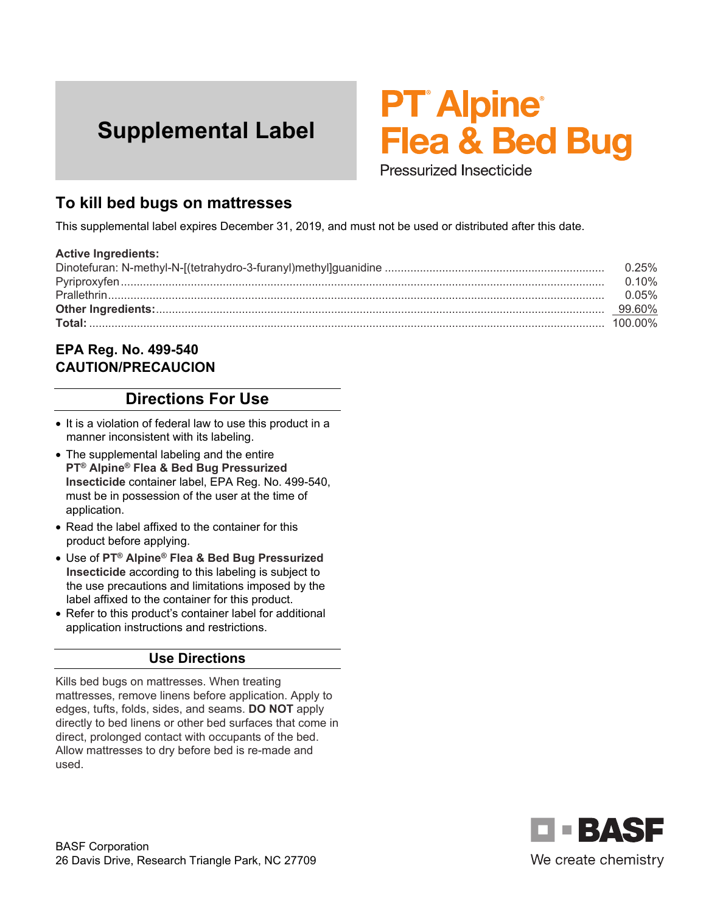# **Supplemental Label**

# **PT Alpine Flea & Bed Bug**

Pressurized Insecticide

## **To kill bed bugs on mattresses**

This supplemental label expires December 31, 2019, and must not be used or distributed after this date.

#### **Active Ingredients:**

| $0.25\%$ |
|----------|
| $0.10\%$ |
| 0.05%    |
| 99.60%   |
| 100 00%  |

#### **EPA Reg. No. 499-540 CAUTION/PRECAUCION**

### **Directions For Use**

- It is a violation of federal law to use this product in a manner inconsistent with its labeling.
- The supplemental labeling and the entire **PT® Alpine® Flea & Bed Bug Pressurized Insecticide** container label, EPA Reg. No. 499-540, must be in possession of the user at the time of application.
- Read the label affixed to the container for this product before applying.
- Use of **PT® Alpine® Flea & Bed Bug Pressurized Insecticide** according to this labeling is subject to the use precautions and limitations imposed by the label affixed to the container for this product.
- Refer to this product's container label for additional application instructions and restrictions.

#### **Use Directions**

Kills bed bugs on mattresses. When treating mattresses, remove linens before application. Apply to edges, tufts, folds, sides, and seams. **DO NOT** apply directly to bed linens or other bed surfaces that come in direct, prolonged contact with occupants of the bed. Allow mattresses to dry before bed is re-made and used.